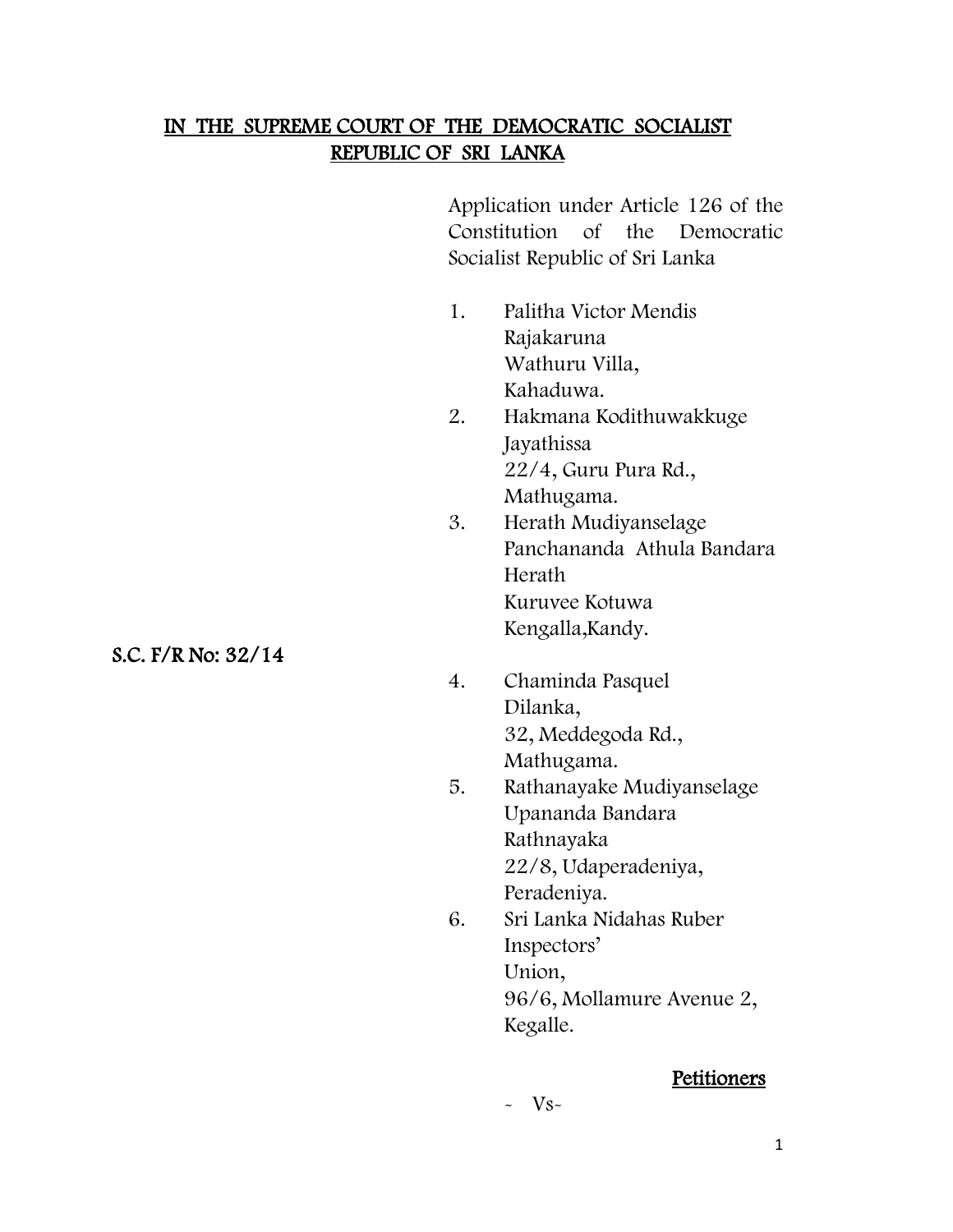## IN THE SUPREME COURT OF THE DEMOCRATIC SOCIALIST REPUBLIC OF SRI LANKA

Application under Article 126 of the Constitution of the Democratic Socialist Republic of Sri Lanka

- 1. Palitha Victor Mendis Rajakaruna Wathuru Villa, Kahaduwa.
- 2. Hakmana Kodithuwakkuge Jayathissa 22/4, Guru Pura Rd., Mathugama.
- 3. Herath Mudiyanselage Panchananda Athula Bandara Herath Kuruvee Kotuwa Kengalla,Kandy.
- 4. Chaminda Pasquel Dilanka, 32, Meddegoda Rd., Mathugama.
- 5. Rathanayake Mudiyanselage Upananda Bandara Rathnayaka 22/8, Udaperadeniya, Peradeniya.
- 6. Sri Lanka Nidahas Ruber Inspectors' Union, 96/6, Mollamure Avenue 2, Kegalle.

# **Petitioners**

#### $\sim$  V<sub>S</sub> $\sim$

S.C. F/R No: 32/14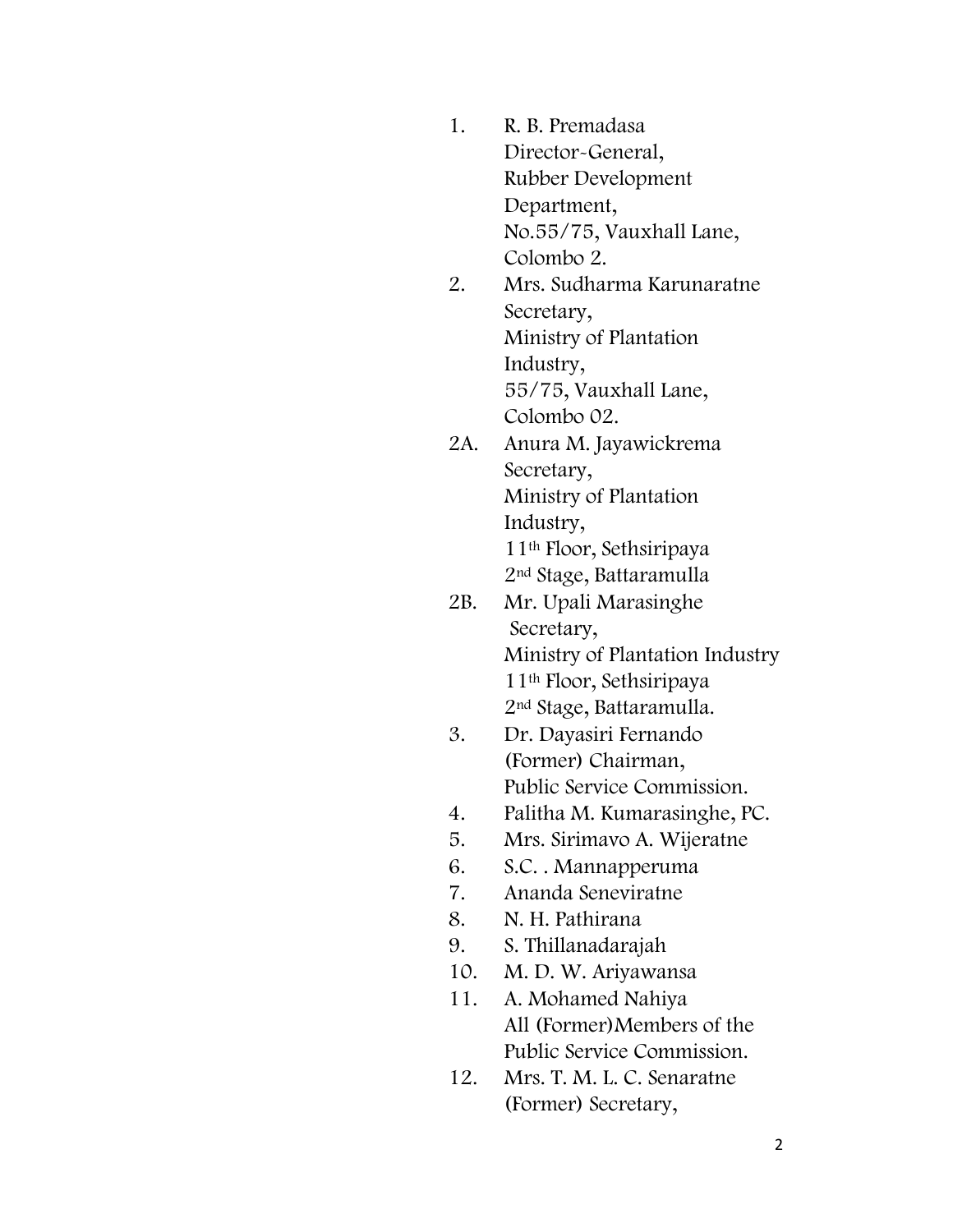- 1. R. B. Premadasa Director-General, Rubber Development Department, No.55/75, Vauxhall Lane, Colombo 2.
- 2. Mrs. Sudharma Karunaratne Secretary, Ministry of Plantation Industry, 55/75, Vauxhall Lane, Colombo 02.
- 2A. Anura M. Jayawickrema Secretary, Ministry of Plantation Industry, 11th Floor, Sethsiripaya 2nd Stage, Battaramulla
- 2B. Mr. Upali Marasinghe Secretary, Ministry of Plantation Industry 11th Floor, Sethsiripaya 2nd Stage, Battaramulla.
- 3. Dr. Dayasiri Fernando (Former) Chairman, Public Service Commission.
- 4. Palitha M. Kumarasinghe, PC.
- 5. Mrs. Sirimavo A. Wijeratne
- 6. S.C. . Mannapperuma
- 7. Ananda Seneviratne
- 8. N. H. Pathirana
- 9. S. Thillanadarajah
- 10. M. D. W. Ariyawansa
- 11. A. Mohamed Nahiya All (Former)Members of the Public Service Commission.
- 12. Mrs. T. M. L. C. Senaratne (Former) Secretary,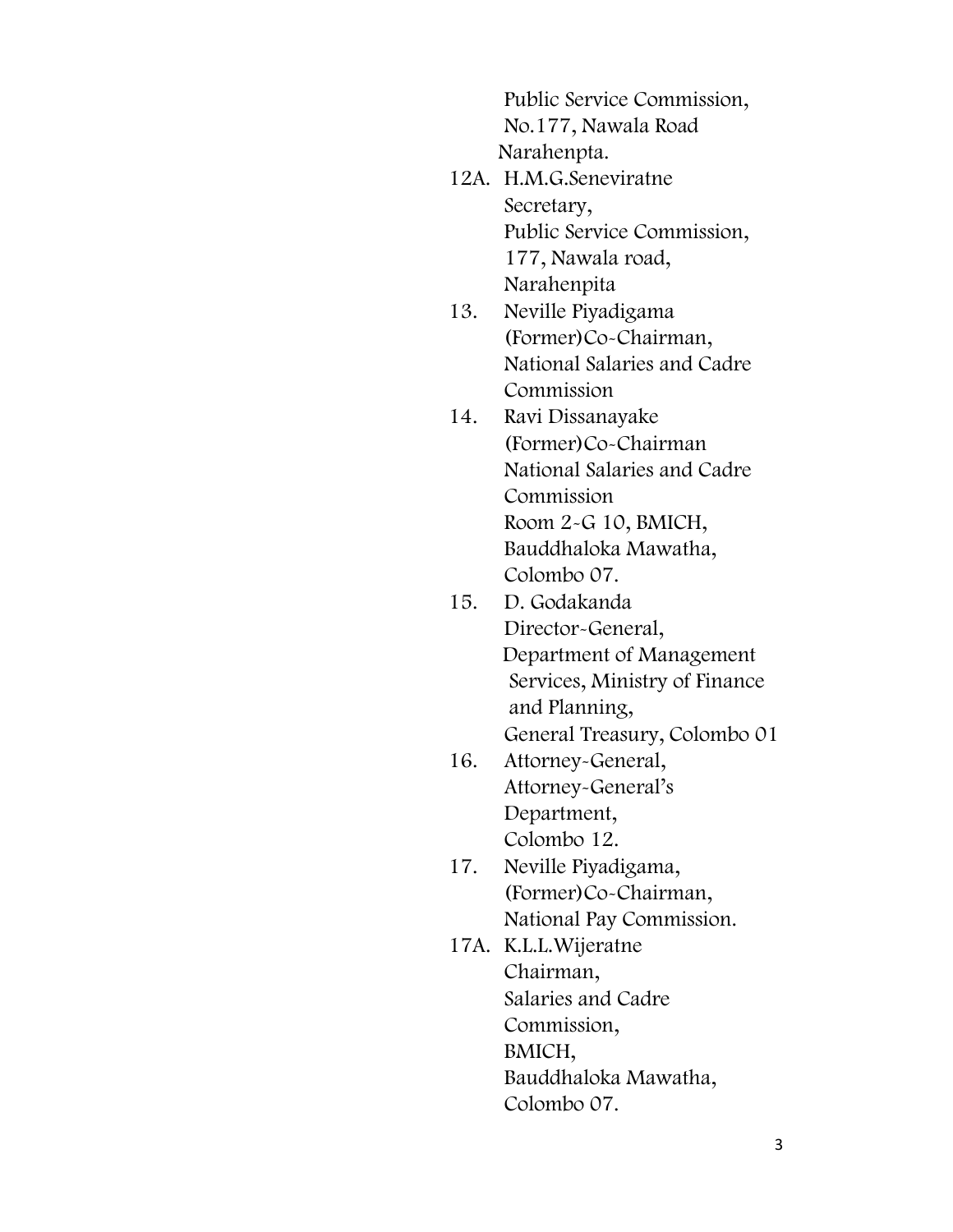Public Service Commission, No.177, Nawala Road Narahenpta.

- 12A. H.M.G.Seneviratne Secretary, Public Service Commission, 177, Nawala road, Narahenpita
- 13. Neville Piyadigama (Former)Co-Chairman, National Salaries and Cadre Commission
- 14. Ravi Dissanayake (Former)Co-Chairman National Salaries and Cadre Commission Room 2-G 10, BMICH, Bauddhaloka Mawatha, Colombo 07.
- 15. D. Godakanda Director-General, Department of Management Services, Ministry of Finance and Planning, General Treasury, Colombo 01
- 16. Attorney-General, Attorney-General's Department, Colombo 12.
- 17. Neville Piyadigama, (Former)Co-Chairman, National Pay Commission.
- 17A. K.L.L.Wijeratne Chairman, Salaries and Cadre Commission, BMICH, Bauddhaloka Mawatha, Colombo 07.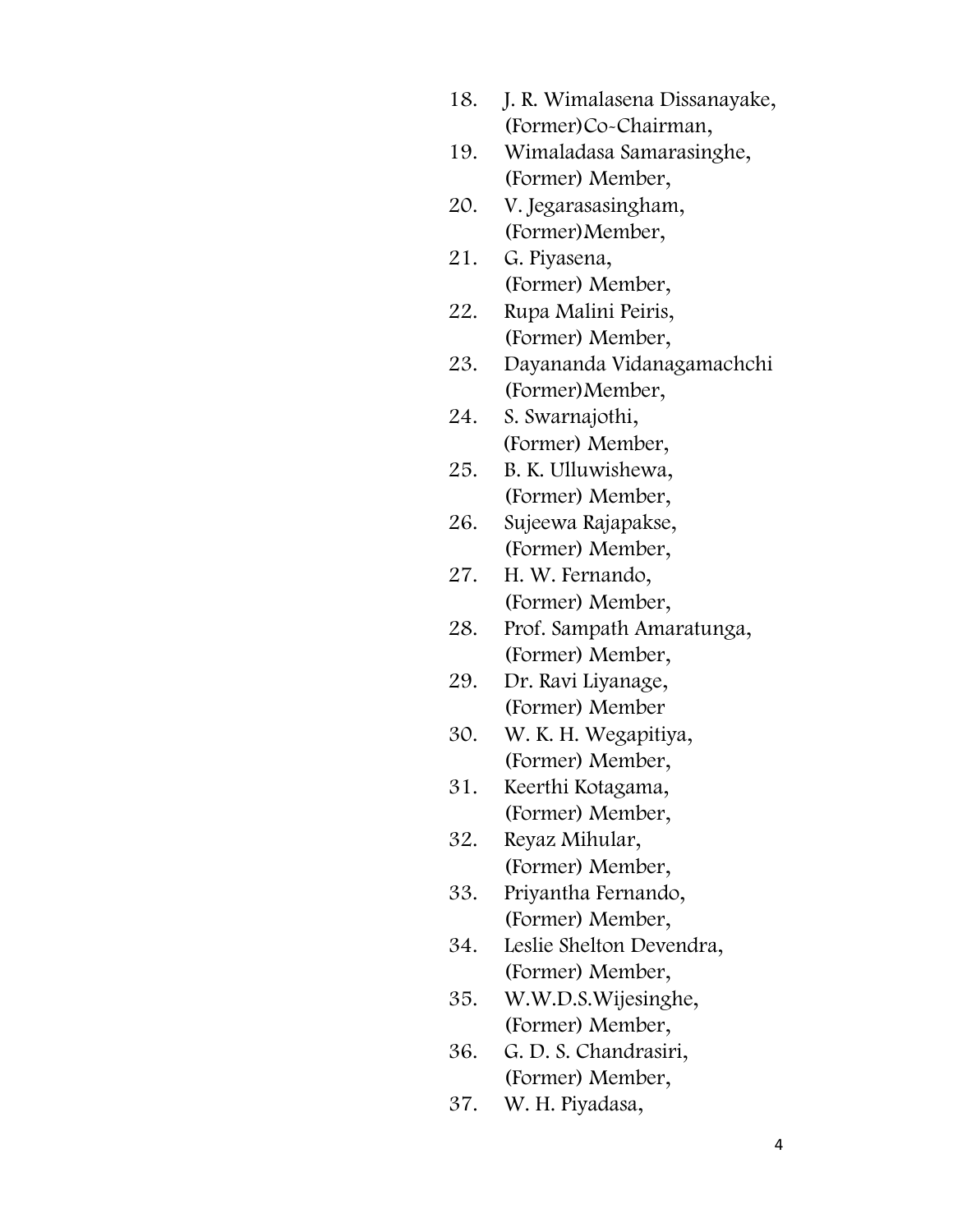- 18. J. R. Wimalasena Dissanayake, (Former)Co-Chairman,
- 19. Wimaladasa Samarasinghe, (Former) Member,
- 20. V. Jegarasasingham, (Former)Member,
- 21. G. Piyasena, (Former) Member,
- 22. Rupa Malini Peiris, (Former) Member,
- 23. Dayananda Vidanagamachchi (Former)Member,
- 24. S. Swarnajothi, (Former) Member,
- 25. B. K. Ulluwishewa, (Former) Member,
- 26. Sujeewa Rajapakse, (Former) Member,
- 27. H. W. Fernando, (Former) Member,
- 28. Prof. Sampath Amaratunga, (Former) Member,
- 29. Dr. Ravi Liyanage, (Former) Member
- 30. W. K. H. Wegapitiya, (Former) Member,
- 31. Keerthi Kotagama, (Former) Member,
- 32. Reyaz Mihular, (Former) Member,
- 33. Priyantha Fernando, (Former) Member,
- 34. Leslie Shelton Devendra, (Former) Member,
- 35. W.W.D.S.Wijesinghe, (Former) Member,
- 36. G. D. S. Chandrasiri, (Former) Member,
- 37. W. H. Piyadasa,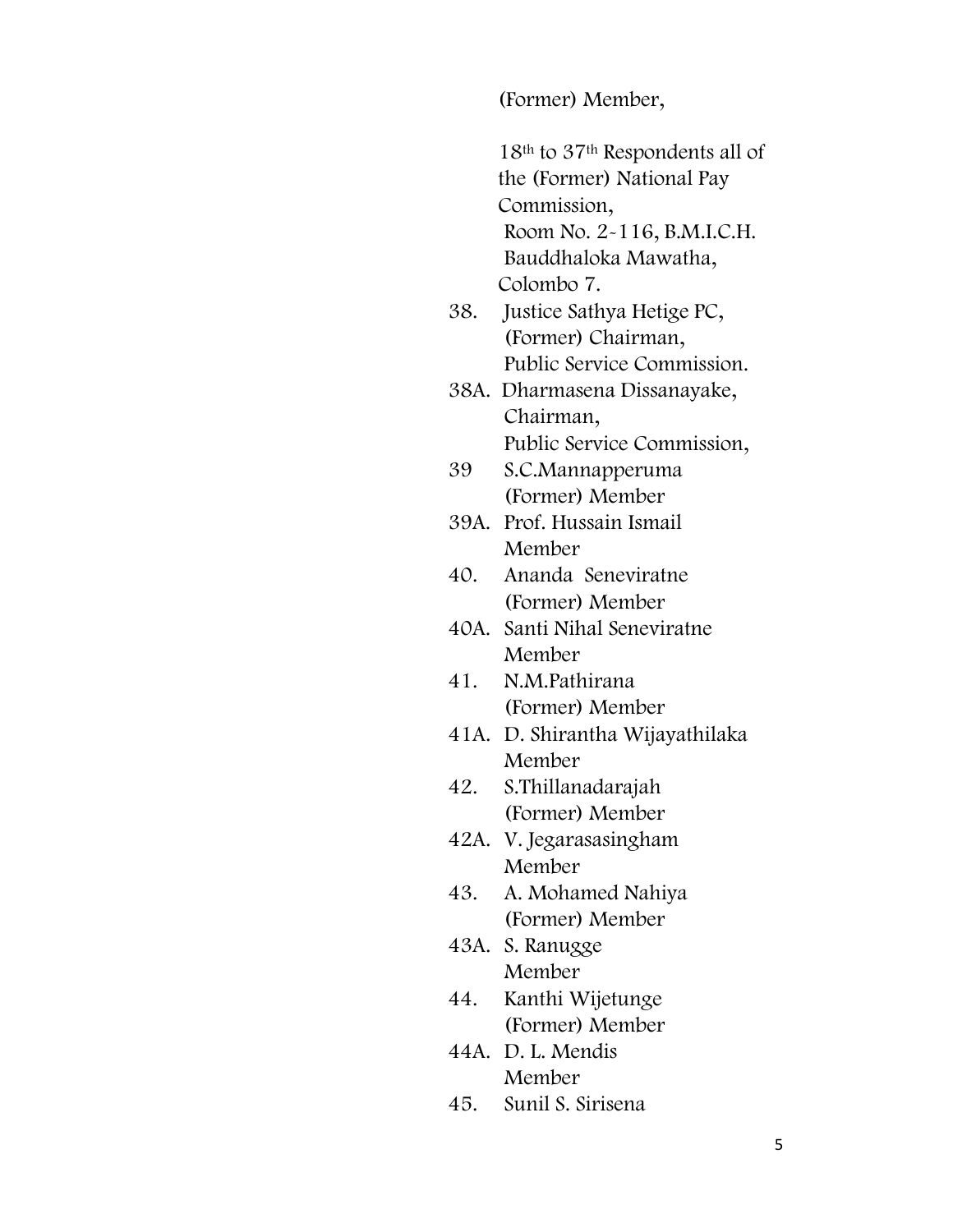(Former) Member,

18th to 37th Respondents all of the (Former) National Pay Commission, Room No. 2-116, B.M.I.C.H. Bauddhaloka Mawatha, Colombo 7.

- 38. Justice Sathya Hetige PC, (Former) Chairman, Public Service Commission.
- 38A. Dharmasena Dissanayake, Chairman, Public Service Commission,
- 39 S.C.Mannapperuma (Former) Member
- 39A. Prof. Hussain Ismail Member
- 40. Ananda Seneviratne (Former) Member
- 40A. Santi Nihal Seneviratne Member
- 41. N.M.Pathirana (Former) Member
- 41A. D. Shirantha Wijayathilaka Member
- 42. S.Thillanadarajah (Former) Member
- 42A. V. Jegarasasingham Member
- 43. A. Mohamed Nahiya (Former) Member
- 43A. S. Ranugge Member
- 44. Kanthi Wijetunge (Former) Member
- 44A. D. L. Mendis Member
- 45. Sunil S. Sirisena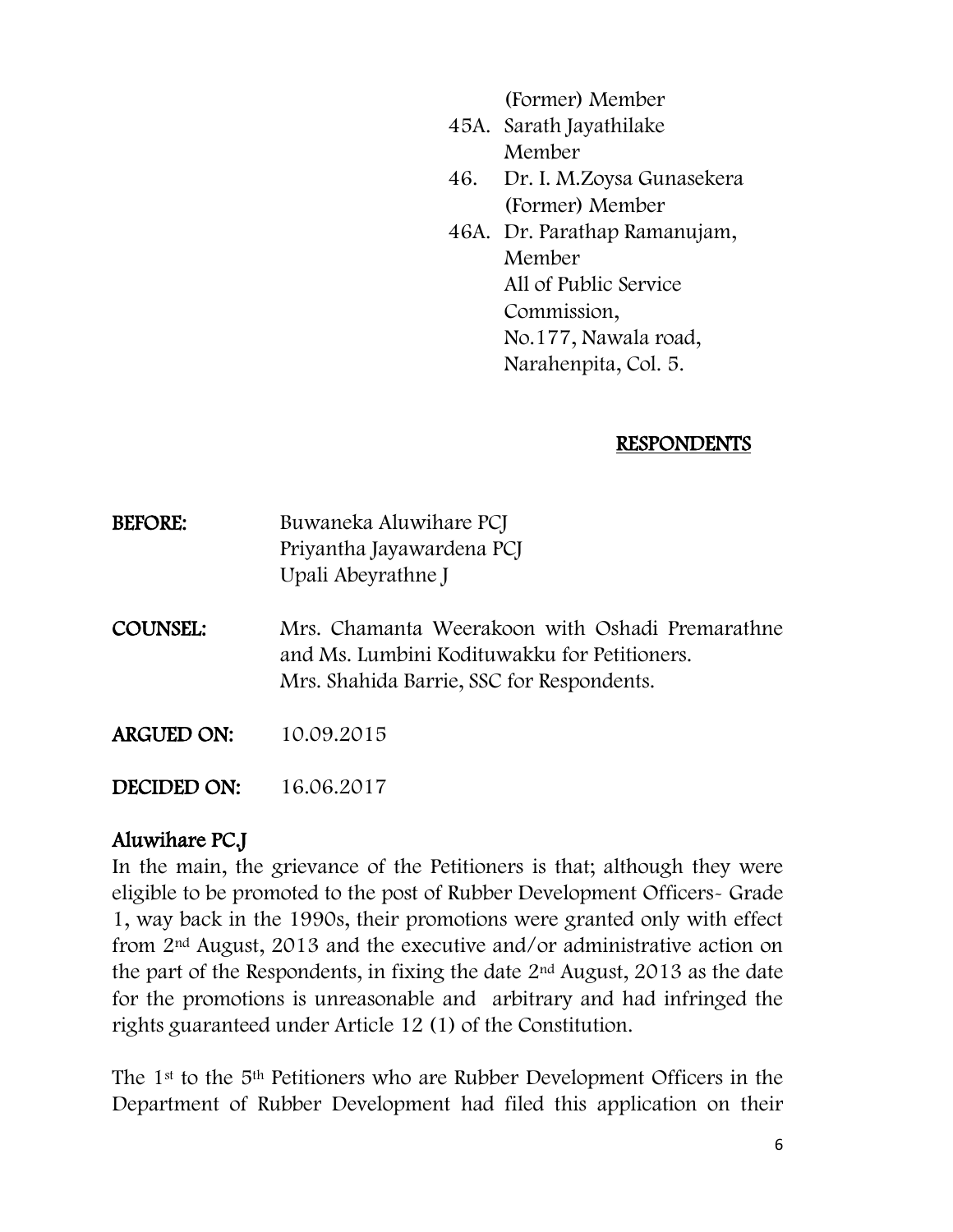(Former) Member

- 45A. Sarath Jayathilake Member
- 46. Dr. I. M.Zoysa Gunasekera (Former) Member
- 46A. Dr. Parathap Ramanujam, Member All of Public Service Commission, No.177, Nawala road, Narahenpita, Col. 5.

### RESPONDENTS

| <b>BEFORE:</b> | Buwaneka Aluwihare PCJ    |
|----------------|---------------------------|
|                | Priyantha Jayawardena PCJ |
|                | Upali Abeyrathne J        |

- COUNSEL: Mrs. Chamanta Weerakoon with Oshadi Premarathne and Ms. Lumbini Kodituwakku for Petitioners. Mrs. Shahida Barrie, SSC for Respondents.
- ARGUED ON: 10.09.2015

DECIDED ON: 16.06.2017

# Aluwihare PC.J

In the main, the grievance of the Petitioners is that; although they were eligible to be promoted to the post of Rubber Development Officers- Grade 1, way back in the 1990s, their promotions were granted only with effect from 2nd August, 2013 and the executive and/or administrative action on the part of the Respondents, in fixing the date 2nd August, 2013 as the date for the promotions is unreasonable and arbitrary and had infringed the rights guaranteed under Article 12 (1) of the Constitution.

The 1st to the 5th Petitioners who are Rubber Development Officers in the Department of Rubber Development had filed this application on their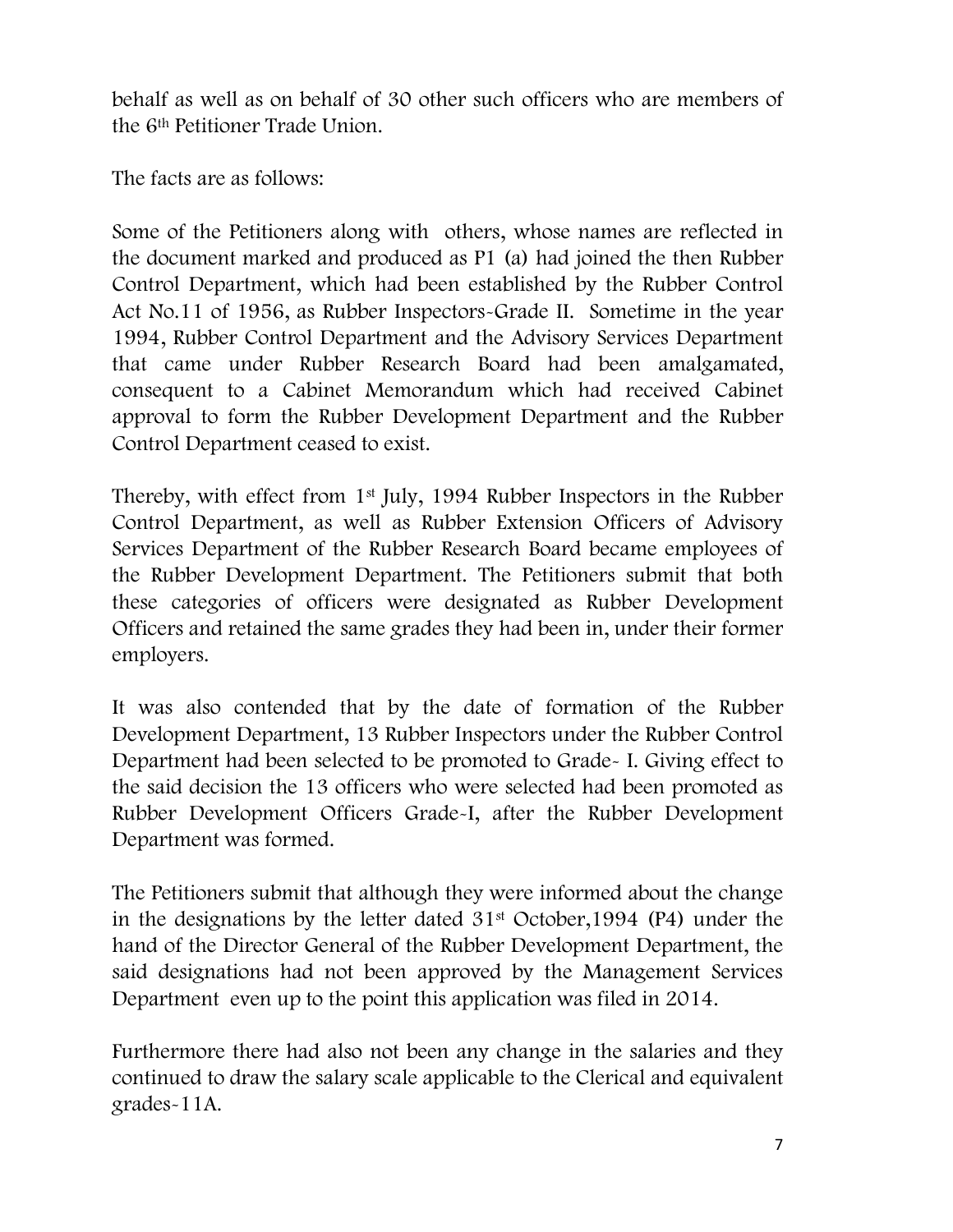behalf as well as on behalf of 30 other such officers who are members of the 6th Petitioner Trade Union.

The facts are as follows:

Some of the Petitioners along with others, whose names are reflected in the document marked and produced as P1 (a) had joined the then Rubber Control Department, which had been established by the Rubber Control Act No.11 of 1956, as Rubber Inspectors-Grade II. Sometime in the year 1994, Rubber Control Department and the Advisory Services Department that came under Rubber Research Board had been amalgamated, consequent to a Cabinet Memorandum which had received Cabinet approval to form the Rubber Development Department and the Rubber Control Department ceased to exist.

Thereby, with effect from 1st July, 1994 Rubber Inspectors in the Rubber Control Department, as well as Rubber Extension Officers of Advisory Services Department of the Rubber Research Board became employees of the Rubber Development Department. The Petitioners submit that both these categories of officers were designated as Rubber Development Officers and retained the same grades they had been in, under their former employers.

It was also contended that by the date of formation of the Rubber Development Department, 13 Rubber Inspectors under the Rubber Control Department had been selected to be promoted to Grade- I. Giving effect to the said decision the 13 officers who were selected had been promoted as Rubber Development Officers Grade-I, after the Rubber Development Department was formed.

The Petitioners submit that although they were informed about the change in the designations by the letter dated 31st October,1994 (P4) under the hand of the Director General of the Rubber Development Department, the said designations had not been approved by the Management Services Department even up to the point this application was filed in 2014.

Furthermore there had also not been any change in the salaries and they continued to draw the salary scale applicable to the Clerical and equivalent grades-11A.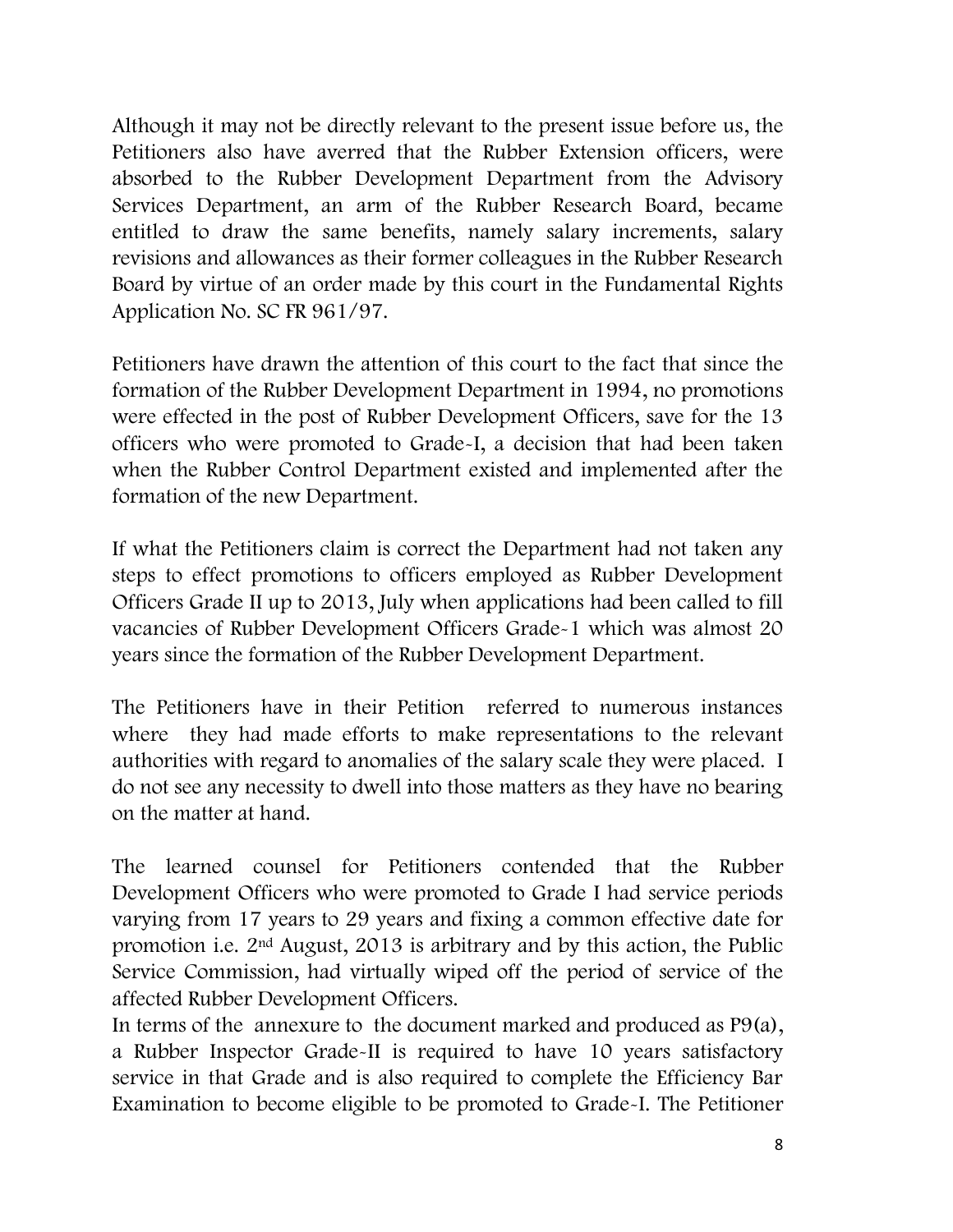Although it may not be directly relevant to the present issue before us, the Petitioners also have averred that the Rubber Extension officers, were absorbed to the Rubber Development Department from the Advisory Services Department, an arm of the Rubber Research Board, became entitled to draw the same benefits, namely salary increments, salary revisions and allowances as their former colleagues in the Rubber Research Board by virtue of an order made by this court in the Fundamental Rights Application No. SC FR 961/97.

Petitioners have drawn the attention of this court to the fact that since the formation of the Rubber Development Department in 1994, no promotions were effected in the post of Rubber Development Officers, save for the 13 officers who were promoted to Grade-I, a decision that had been taken when the Rubber Control Department existed and implemented after the formation of the new Department.

If what the Petitioners claim is correct the Department had not taken any steps to effect promotions to officers employed as Rubber Development Officers Grade II up to 2013, July when applications had been called to fill vacancies of Rubber Development Officers Grade-1 which was almost 20 years since the formation of the Rubber Development Department.

The Petitioners have in their Petition referred to numerous instances where they had made efforts to make representations to the relevant authorities with regard to anomalies of the salary scale they were placed. I do not see any necessity to dwell into those matters as they have no bearing on the matter at hand.

The learned counsel for Petitioners contended that the Rubber Development Officers who were promoted to Grade I had service periods varying from 17 years to 29 years and fixing a common effective date for promotion i.e. 2nd August, 2013 is arbitrary and by this action, the Public Service Commission, had virtually wiped off the period of service of the affected Rubber Development Officers.

In terms of the annexure to the document marked and produced as P9(a), a Rubber Inspector Grade-II is required to have 10 years satisfactory service in that Grade and is also required to complete the Efficiency Bar Examination to become eligible to be promoted to Grade-I. The Petitioner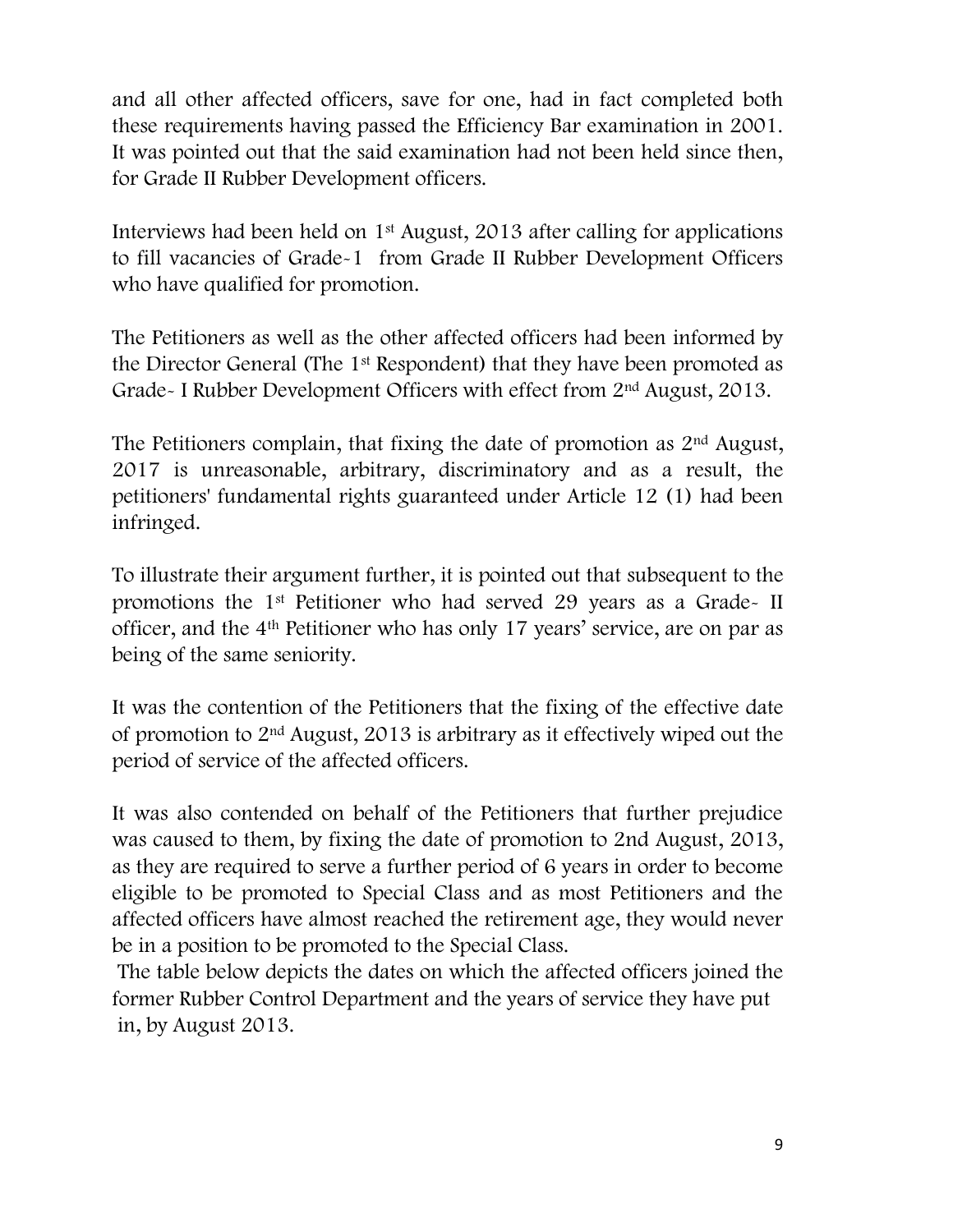and all other affected officers, save for one, had in fact completed both these requirements having passed the Efficiency Bar examination in 2001. It was pointed out that the said examination had not been held since then, for Grade II Rubber Development officers.

Interviews had been held on 1st August, 2013 after calling for applications to fill vacancies of Grade-1 from Grade II Rubber Development Officers who have qualified for promotion.

The Petitioners as well as the other affected officers had been informed by the Director General (The 1st Respondent) that they have been promoted as Grade- I Rubber Development Officers with effect from 2nd August, 2013.

The Petitioners complain, that fixing the date of promotion as 2nd August, 2017 is unreasonable, arbitrary, discriminatory and as a result, the petitioners' fundamental rights guaranteed under Article 12 (1) had been infringed.

To illustrate their argument further, it is pointed out that subsequent to the promotions the 1st Petitioner who had served 29 years as a Grade- II officer, and the 4th Petitioner who has only 17 years' service, are on par as being of the same seniority.

It was the contention of the Petitioners that the fixing of the effective date of promotion to 2nd August, 2013 is arbitrary as it effectively wiped out the period of service of the affected officers.

It was also contended on behalf of the Petitioners that further prejudice was caused to them, by fixing the date of promotion to 2nd August, 2013, as they are required to serve a further period of 6 years in order to become eligible to be promoted to Special Class and as most Petitioners and the affected officers have almost reached the retirement age, they would never be in a position to be promoted to the Special Class.

The table below depicts the dates on which the affected officers joined the former Rubber Control Department and the years of service they have put in, by August 2013.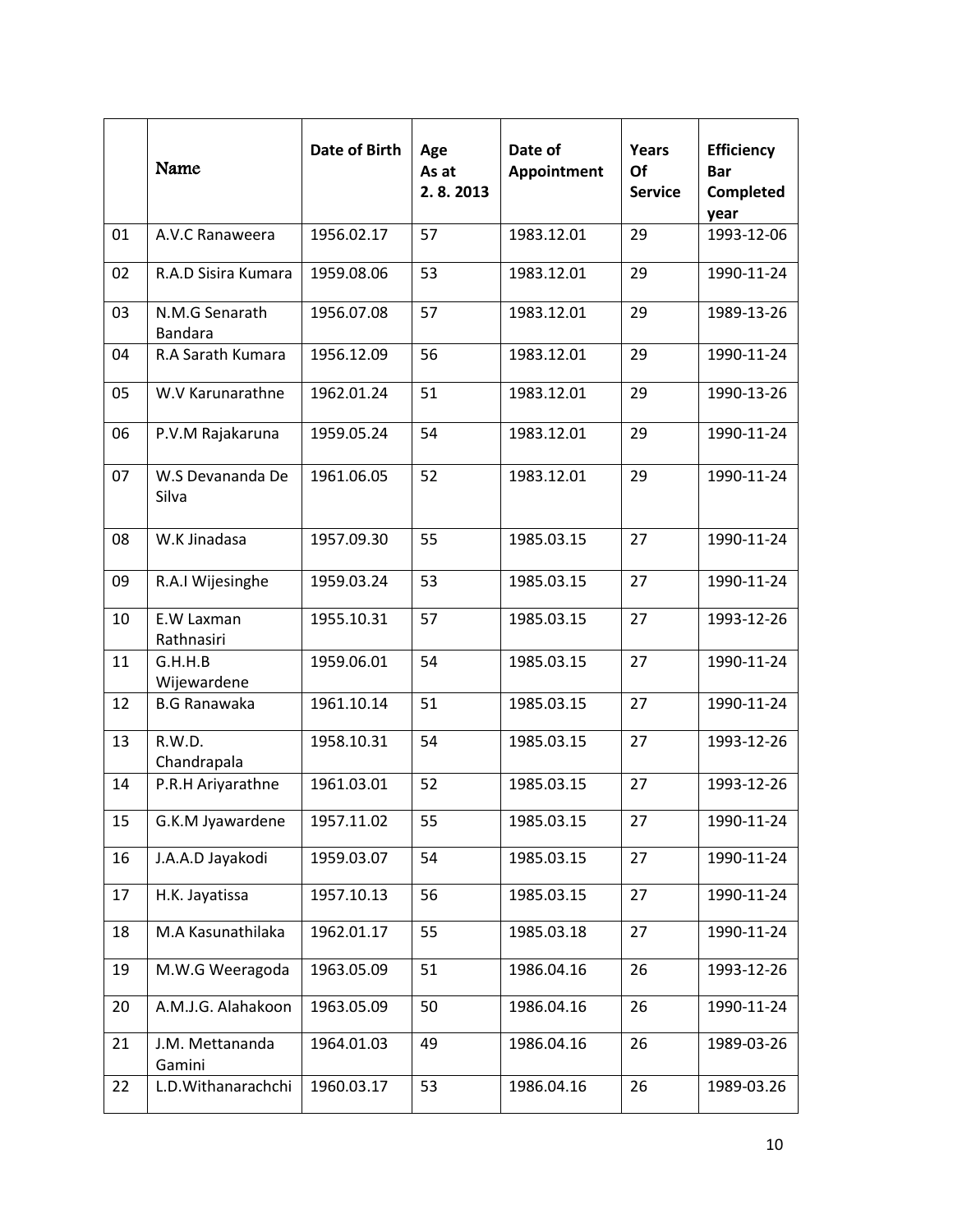|    | Name                             | Date of Birth | Age<br>As at<br>2.8.2013 | Date of<br>Appointment | Years<br>Of<br><b>Service</b> | <b>Efficiency</b><br><b>Bar</b><br>Completed<br>year |
|----|----------------------------------|---------------|--------------------------|------------------------|-------------------------------|------------------------------------------------------|
| 01 | A.V.C Ranaweera                  | 1956.02.17    | 57                       | 1983.12.01             | 29                            | 1993-12-06                                           |
| 02 | R.A.D Sisira Kumara              | 1959.08.06    | 53                       | 1983.12.01             | 29                            | 1990-11-24                                           |
| 03 | N.M.G Senarath<br><b>Bandara</b> | 1956.07.08    | 57                       | 1983.12.01             | 29                            | 1989-13-26                                           |
| 04 | R.A Sarath Kumara                | 1956.12.09    | 56                       | 1983.12.01             | 29                            | 1990-11-24                                           |
| 05 | W.V Karunarathne                 | 1962.01.24    | 51                       | 1983.12.01             | 29                            | 1990-13-26                                           |
| 06 | P.V.M Rajakaruna                 | 1959.05.24    | 54                       | 1983.12.01             | 29                            | 1990-11-24                                           |
| 07 | W.S Devananda De<br>Silva        | 1961.06.05    | 52                       | 1983.12.01             | 29                            | 1990-11-24                                           |
| 08 | W.K Jinadasa                     | 1957.09.30    | 55                       | 1985.03.15             | 27                            | 1990-11-24                                           |
| 09 | R.A.I Wijesinghe                 | 1959.03.24    | 53                       | 1985.03.15             | 27                            | 1990-11-24                                           |
| 10 | E.W Laxman<br>Rathnasiri         | 1955.10.31    | 57                       | 1985.03.15             | 27                            | 1993-12-26                                           |
| 11 | G.H.H.B<br>Wijewardene           | 1959.06.01    | 54                       | 1985.03.15             | 27                            | 1990-11-24                                           |
| 12 | <b>B.G Ranawaka</b>              | 1961.10.14    | 51                       | 1985.03.15             | 27                            | 1990-11-24                                           |
| 13 | R.W.D.<br>Chandrapala            | 1958.10.31    | 54                       | 1985.03.15             | 27                            | 1993-12-26                                           |
| 14 | P.R.H Ariyarathne                | 1961.03.01    | 52                       | 1985.03.15             | 27                            | 1993-12-26                                           |
| 15 | G.K.M Jyawardene                 | 1957.11.02    | 55                       | 1985.03.15             | 27                            | 1990-11-24                                           |
| 16 | J.A.A.D Jayakodi                 | 1959.03.07    | 54                       | 1985.03.15             | 27                            | 1990-11-24                                           |
| 17 | H.K. Jayatissa                   | 1957.10.13    | 56                       | 1985.03.15             | 27                            | 1990-11-24                                           |
| 18 | M.A Kasunathilaka                | 1962.01.17    | 55                       | 1985.03.18             | 27                            | 1990-11-24                                           |
| 19 | M.W.G Weeragoda                  | 1963.05.09    | 51                       | 1986.04.16             | 26                            | 1993-12-26                                           |
| 20 | A.M.J.G. Alahakoon               | 1963.05.09    | 50                       | 1986.04.16             | 26                            | 1990-11-24                                           |
| 21 | J.M. Mettananda<br>Gamini        | 1964.01.03    | 49                       | 1986.04.16             | 26                            | 1989-03-26                                           |
| 22 | L.D.Withanarachchi               | 1960.03.17    | 53                       | 1986.04.16             | 26                            | 1989-03.26                                           |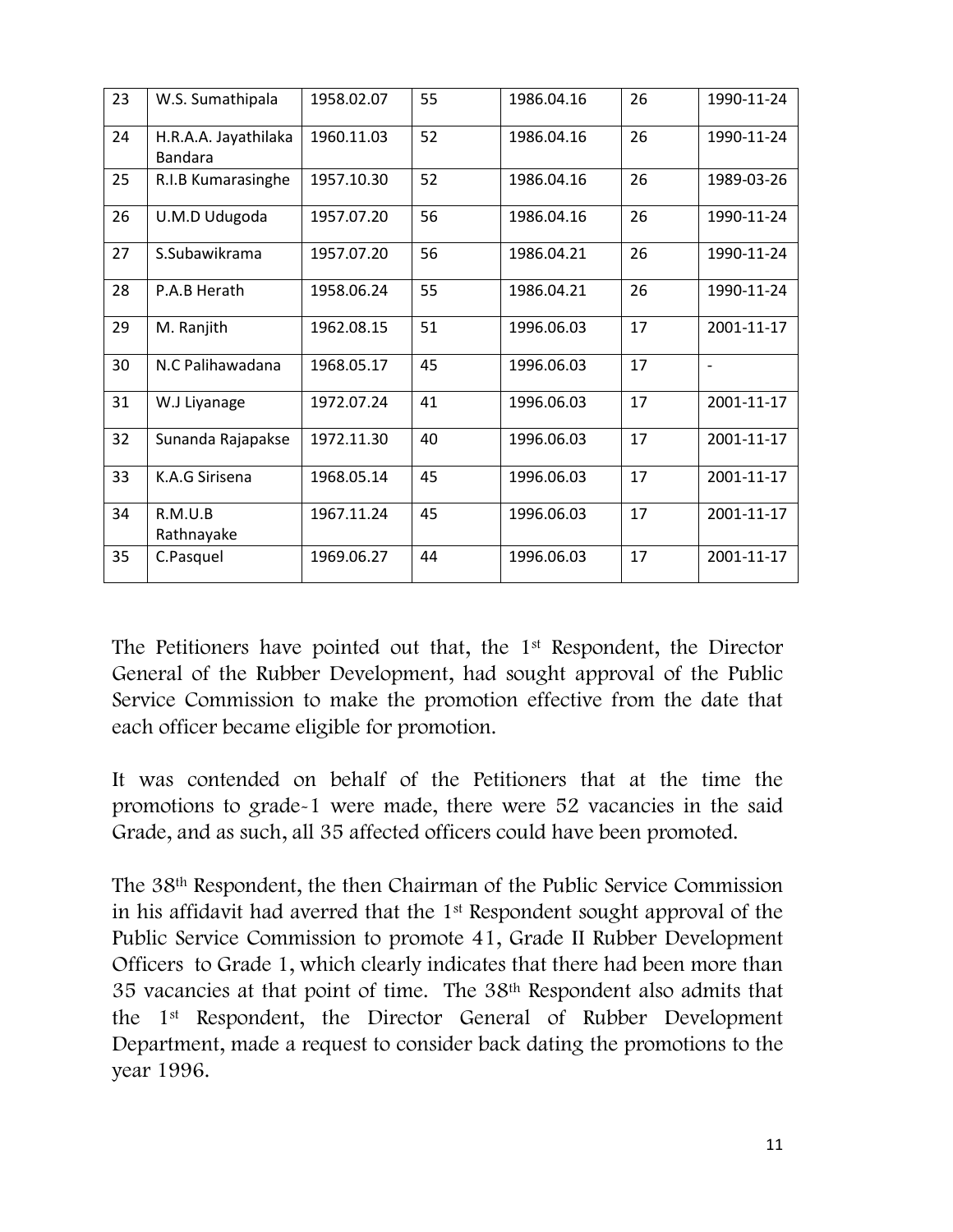| 23 | W.S. Sumathipala                | 1958.02.07 | 55 | 1986.04.16 | 26 | 1990-11-24 |
|----|---------------------------------|------------|----|------------|----|------------|
| 24 | H.R.A.A. Jayathilaka<br>Bandara | 1960.11.03 | 52 | 1986.04.16 | 26 | 1990-11-24 |
| 25 | R.I.B Kumarasinghe              | 1957.10.30 | 52 | 1986.04.16 | 26 | 1989-03-26 |
| 26 | U.M.D Udugoda                   | 1957.07.20 | 56 | 1986.04.16 | 26 | 1990-11-24 |
| 27 | S.Subawikrama                   | 1957.07.20 | 56 | 1986.04.21 | 26 | 1990-11-24 |
| 28 | P.A.B Herath                    | 1958.06.24 | 55 | 1986.04.21 | 26 | 1990-11-24 |
| 29 | M. Ranjith                      | 1962.08.15 | 51 | 1996.06.03 | 17 | 2001-11-17 |
| 30 | N.C Palihawadana                | 1968.05.17 | 45 | 1996.06.03 | 17 |            |
| 31 | W.J Liyanage                    | 1972.07.24 | 41 | 1996.06.03 | 17 | 2001-11-17 |
| 32 | Sunanda Rajapakse               | 1972.11.30 | 40 | 1996.06.03 | 17 | 2001-11-17 |
| 33 | K.A.G Sirisena                  | 1968.05.14 | 45 | 1996.06.03 | 17 | 2001-11-17 |
| 34 | R.M.U.B<br>Rathnayake           | 1967.11.24 | 45 | 1996.06.03 | 17 | 2001-11-17 |
| 35 | C.Pasquel                       | 1969.06.27 | 44 | 1996.06.03 | 17 | 2001-11-17 |

The Petitioners have pointed out that, the 1st Respondent, the Director General of the Rubber Development, had sought approval of the Public Service Commission to make the promotion effective from the date that each officer became eligible for promotion.

It was contended on behalf of the Petitioners that at the time the promotions to grade-1 were made, there were 52 vacancies in the said Grade, and as such, all 35 affected officers could have been promoted.

The 38th Respondent, the then Chairman of the Public Service Commission in his affidavit had averred that the 1st Respondent sought approval of the Public Service Commission to promote 41, Grade II Rubber Development Officers to Grade 1, which clearly indicates that there had been more than 35 vacancies at that point of time. The 38th Respondent also admits that the 1st Respondent, the Director General of Rubber Development Department, made a request to consider back dating the promotions to the year 1996.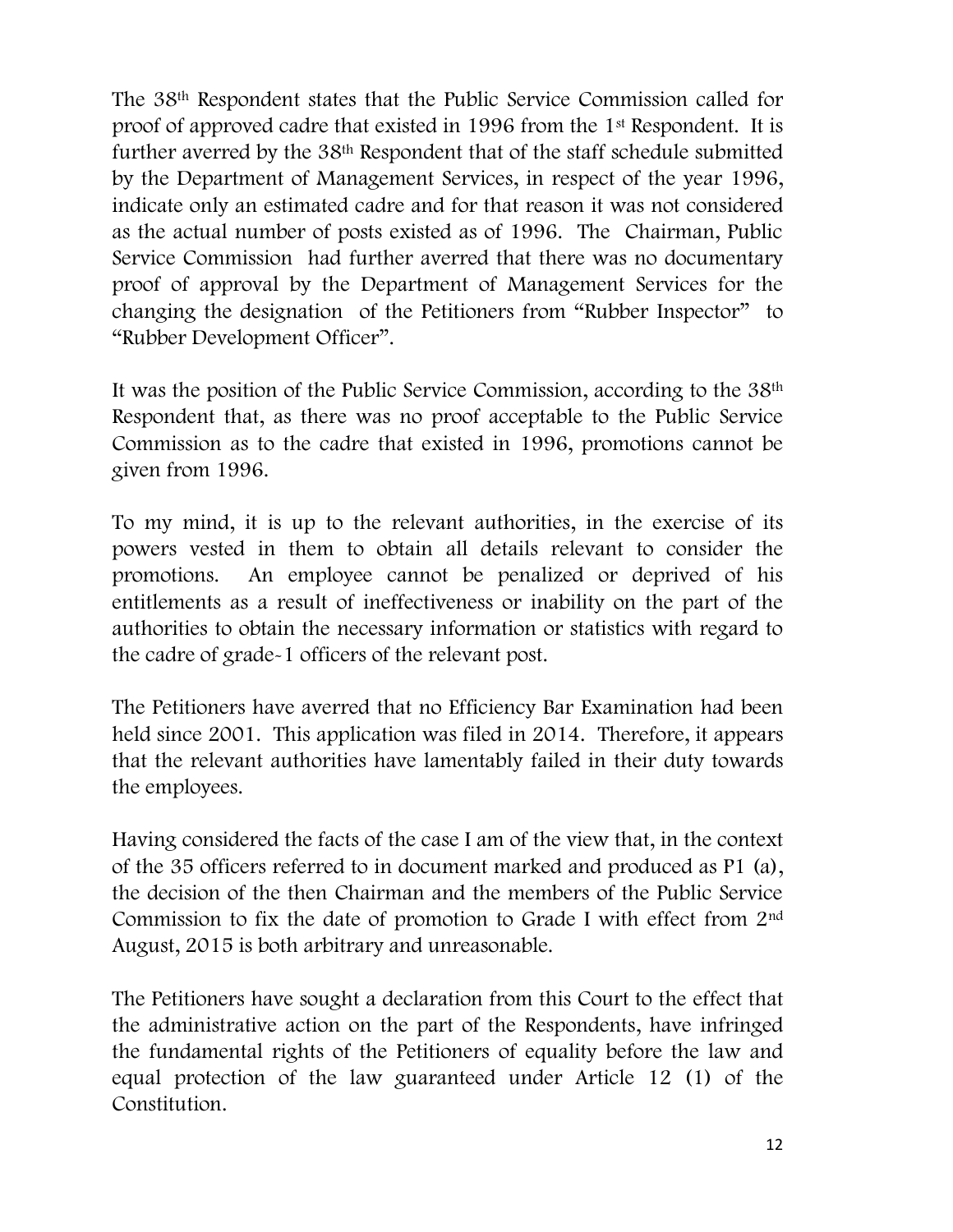The 38th Respondent states that the Public Service Commission called for proof of approved cadre that existed in 1996 from the 1st Respondent. It is further averred by the 38th Respondent that of the staff schedule submitted by the Department of Management Services, in respect of the year 1996, indicate only an estimated cadre and for that reason it was not considered as the actual number of posts existed as of 1996. The Chairman, Public Service Commission had further averred that there was no documentary proof of approval by the Department of Management Services for the changing the designation of the Petitioners from "Rubber Inspector" to "Rubber Development Officer".

It was the position of the Public Service Commission, according to the 38th Respondent that, as there was no proof acceptable to the Public Service Commission as to the cadre that existed in 1996, promotions cannot be given from 1996.

To my mind, it is up to the relevant authorities, in the exercise of its powers vested in them to obtain all details relevant to consider the promotions. An employee cannot be penalized or deprived of his entitlements as a result of ineffectiveness or inability on the part of the authorities to obtain the necessary information or statistics with regard to the cadre of grade-1 officers of the relevant post.

The Petitioners have averred that no Efficiency Bar Examination had been held since 2001. This application was filed in 2014. Therefore, it appears that the relevant authorities have lamentably failed in their duty towards the employees.

Having considered the facts of the case I am of the view that, in the context of the 35 officers referred to in document marked and produced as P1 (a), the decision of the then Chairman and the members of the Public Service Commission to fix the date of promotion to Grade I with effect from 2nd August, 2015 is both arbitrary and unreasonable.

The Petitioners have sought a declaration from this Court to the effect that the administrative action on the part of the Respondents, have infringed the fundamental rights of the Petitioners of equality before the law and equal protection of the law guaranteed under Article 12 (1) of the Constitution.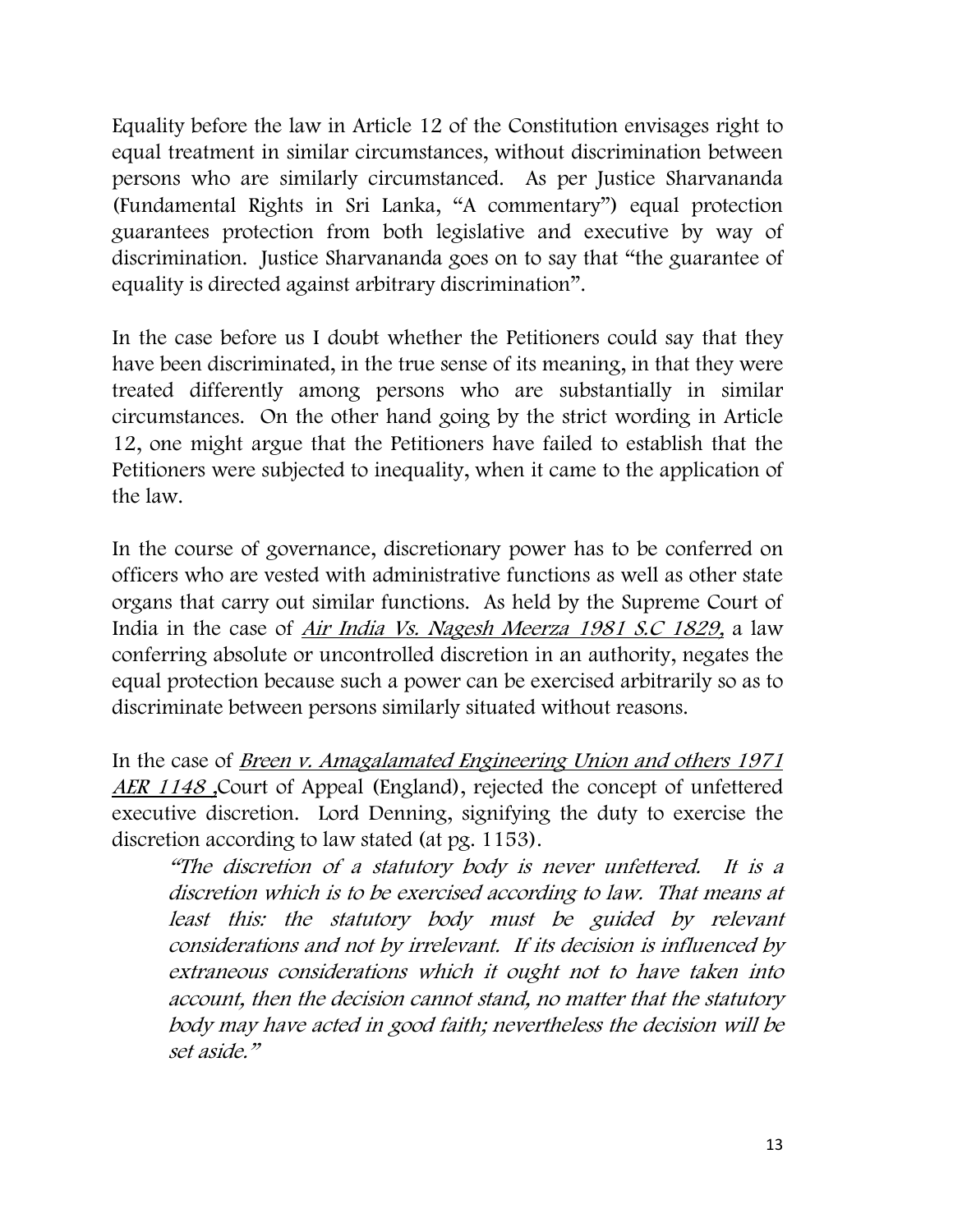Equality before the law in Article 12 of the Constitution envisages right to equal treatment in similar circumstances, without discrimination between persons who are similarly circumstanced. As per Justice Sharvananda (Fundamental Rights in Sri Lanka, "A commentary") equal protection guarantees protection from both legislative and executive by way of discrimination. Justice Sharvananda goes on to say that "the guarantee of equality is directed against arbitrary discrimination".

In the case before us I doubt whether the Petitioners could say that they have been discriminated, in the true sense of its meaning, in that they were treated differently among persons who are substantially in similar circumstances. On the other hand going by the strict wording in Article 12, one might argue that the Petitioners have failed to establish that the Petitioners were subjected to inequality, when it came to the application of the law.

In the course of governance, discretionary power has to be conferred on officers who are vested with administrative functions as well as other state organs that carry out similar functions. As held by the Supreme Court of India in the case of Air India Vs. Nagesh Meerza 1981 S.C 1829, a law conferring absolute or uncontrolled discretion in an authority, negates the equal protection because such a power can be exercised arbitrarily so as to discriminate between persons similarly situated without reasons.

In the case of *Breen v. Amagalamated Engineering Union and others 1971* AER 1148 , Court of Appeal (England), rejected the concept of unfettered executive discretion. Lord Denning, signifying the duty to exercise the discretion according to law stated (at pg. 1153).

"The discretion of a statutory body is never unfettered. It is a discretion which is to be exercised according to law. That means at least this: the statutory body must be guided by relevant considerations and not by irrelevant. If its decision is influenced by extraneous considerations which it ought not to have taken into account, then the decision cannot stand, no matter that the statutory body may have acted in good faith; nevertheless the decision will be set aside."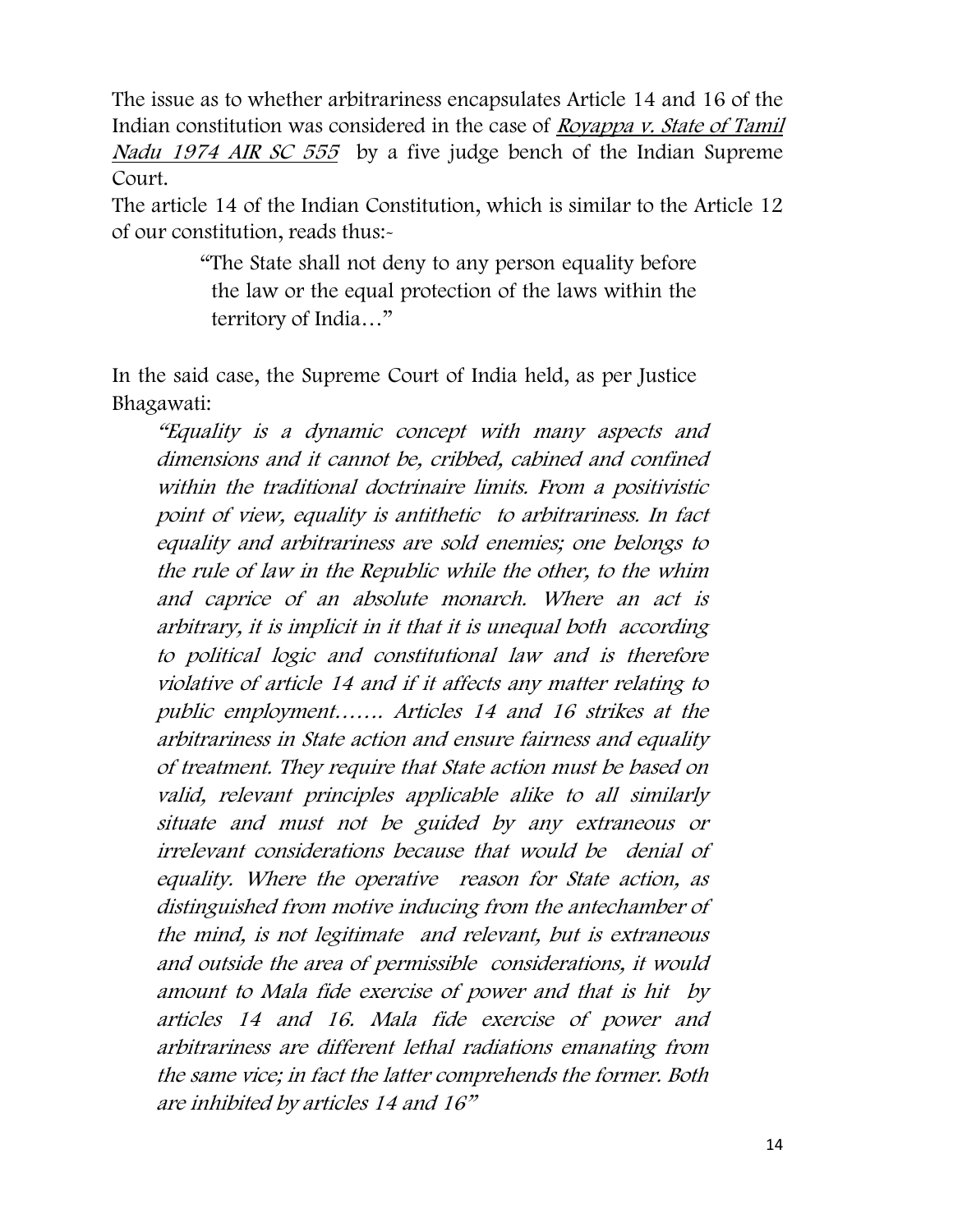The issue as to whether arbitrariness encapsulates Article 14 and 16 of the Indian constitution was considered in the case of Royappa v. State of Tamil Nadu 1974 AIR SC 555 by a five judge bench of the Indian Supreme Court.

The article 14 of the Indian Constitution, which is similar to the Article 12 of our constitution, reads thus:-

> "The State shall not deny to any person equality before the law or the equal protection of the laws within the territory of India…"

In the said case, the Supreme Court of India held, as per Justice Bhagawati:

"Equality is a dynamic concept with many aspects and dimensions and it cannot be, cribbed, cabined and confined within the traditional doctrinaire limits. From a positivistic point of view, equality is antithetic to arbitrariness. In fact equality and arbitrariness are sold enemies; one belongs to the rule of law in the Republic while the other, to the whim and caprice of an absolute monarch. Where an act is arbitrary, it is implicit in it that it is unequal both according to political logic and constitutional law and is therefore violative of article 14 and if it affects any matter relating to public employment……. Articles 14 and 16 strikes at the arbitrariness in State action and ensure fairness and equality of treatment. They require that State action must be based on valid, relevant principles applicable alike to all similarly situate and must not be guided by any extraneous or irrelevant considerations because that would be denial of equality. Where the operative reason for State action, as distinguished from motive inducing from the antechamber of the mind, is not legitimate and relevant, but is extraneous and outside the area of permissible considerations, it would amount to Mala fide exercise of power and that is hit by articles 14 and 16. Mala fide exercise of power and arbitrariness are different lethal radiations emanating from the same vice; in fact the latter comprehends the former. Both are inhibited by articles 14 and 16"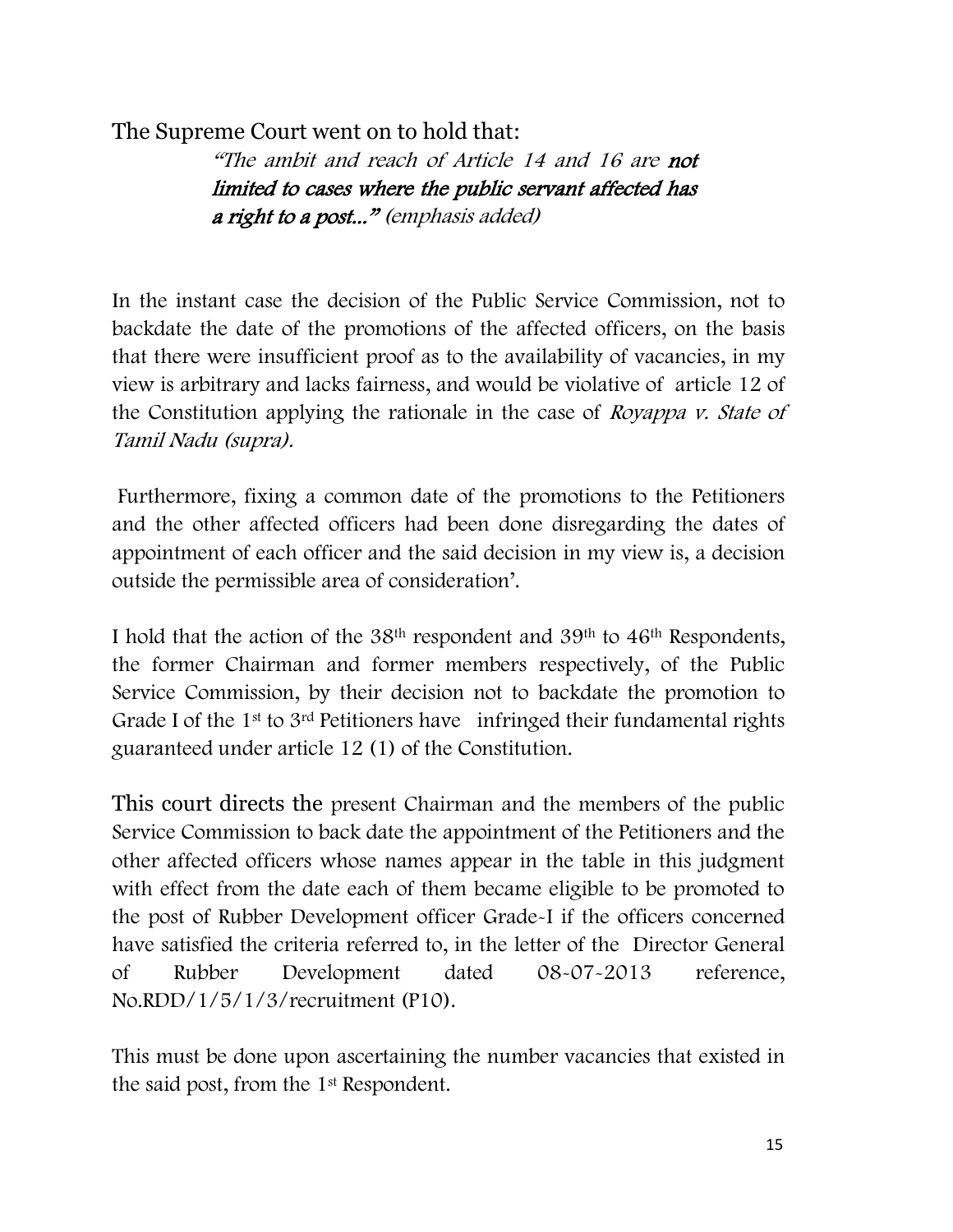The Supreme Court went on to hold that:

"The ambit and reach of Article 14 and 16 are not limited to cases where the public servant affected has a right to a post..." (emphasis added)

In the instant case the decision of the Public Service Commission, not to backdate the date of the promotions of the affected officers, on the basis that there were insufficient proof as to the availability of vacancies, in my view is arbitrary and lacks fairness, and would be violative of article 12 of the Constitution applying the rationale in the case of Royappa v. State of Tamil Nadu (supra).

Furthermore, fixing a common date of the promotions to the Petitioners and the other affected officers had been done disregarding the dates of appointment of each officer and the said decision in my view is, a decision outside the permissible area of consideration'.

I hold that the action of the 38th respondent and 39th to 46th Respondents, the former Chairman and former members respectively, of the Public Service Commission, by their decision not to backdate the promotion to Grade I of the 1<sup>st</sup> to 3<sup>rd</sup> Petitioners have infringed their fundamental rights guaranteed under article 12 (1) of the Constitution.

This court directs the present Chairman and the members of the public Service Commission to back date the appointment of the Petitioners and the other affected officers whose names appear in the table in this judgment with effect from the date each of them became eligible to be promoted to the post of Rubber Development officer Grade-I if the officers concerned have satisfied the criteria referred to, in the letter of the Director General of Rubber Development dated 08-07-2013 reference, No.RDD/1/5/1/3/recruitment (P10).

This must be done upon ascertaining the number vacancies that existed in the said post, from the 1st Respondent.